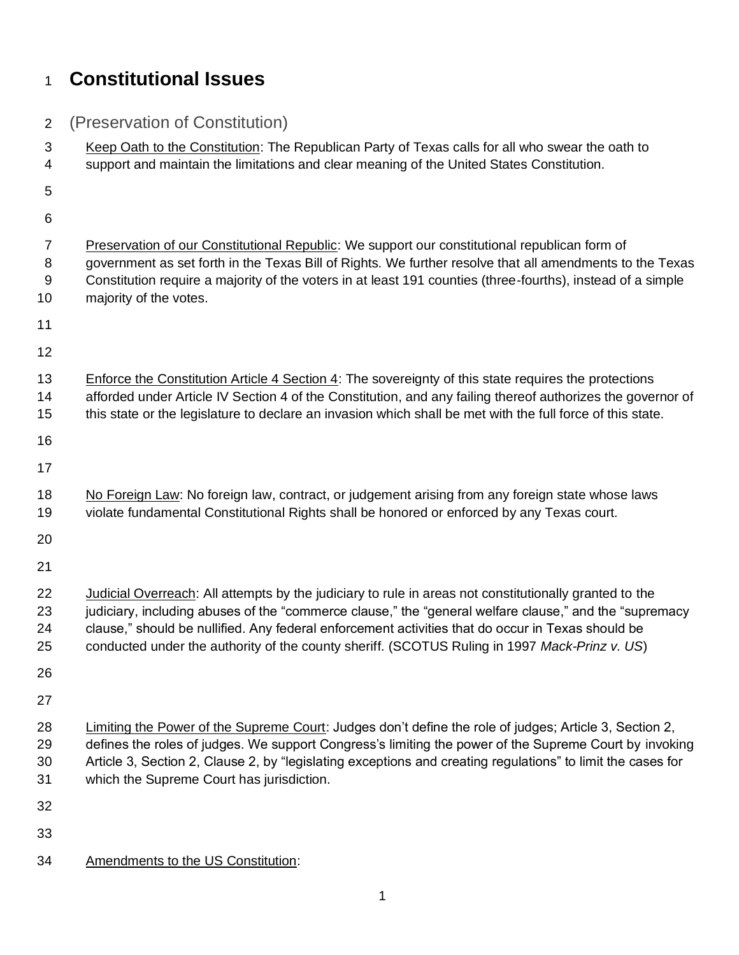## **Constitutional Issues**

| $\overline{2}$ | (Preservation of Constitution)                                                                                                                                                                                   |
|----------------|------------------------------------------------------------------------------------------------------------------------------------------------------------------------------------------------------------------|
| 3              | Keep Oath to the Constitution: The Republican Party of Texas calls for all who swear the oath to                                                                                                                 |
| 4              | support and maintain the limitations and clear meaning of the United States Constitution.                                                                                                                        |
| 5              |                                                                                                                                                                                                                  |
| 6              |                                                                                                                                                                                                                  |
| $\overline{7}$ | Preservation of our Constitutional Republic: We support our constitutional republican form of                                                                                                                    |
| 8              | government as set forth in the Texas Bill of Rights. We further resolve that all amendments to the Texas                                                                                                         |
| $9\,$<br>10    | Constitution require a majority of the voters in at least 191 counties (three-fourths), instead of a simple<br>majority of the votes.                                                                            |
| 11             |                                                                                                                                                                                                                  |
| 12             |                                                                                                                                                                                                                  |
| 13             | <b>Enforce the Constitution Article 4 Section 4: The sovereignty of this state requires the protections</b>                                                                                                      |
| 14             | afforded under Article IV Section 4 of the Constitution, and any failing thereof authorizes the governor of                                                                                                      |
| 15             | this state or the legislature to declare an invasion which shall be met with the full force of this state.                                                                                                       |
| 16             |                                                                                                                                                                                                                  |
| 17             |                                                                                                                                                                                                                  |
| 18             | No Foreign Law: No foreign law, contract, or judgement arising from any foreign state whose laws                                                                                                                 |
| 19             | violate fundamental Constitutional Rights shall be honored or enforced by any Texas court.                                                                                                                       |
| 20             |                                                                                                                                                                                                                  |
| 21             |                                                                                                                                                                                                                  |
| 22             | Judicial Overreach: All attempts by the judiciary to rule in areas not constitutionally granted to the                                                                                                           |
| 23             | judiciary, including abuses of the "commerce clause," the "general welfare clause," and the "supremacy                                                                                                           |
| 24<br>25       | clause," should be nullified. Any federal enforcement activities that do occur in Texas should be<br>conducted under the authority of the county sheriff. (SCOTUS Ruling in 1997 Mack-Prinz v. US)               |
| 26             |                                                                                                                                                                                                                  |
| 27             |                                                                                                                                                                                                                  |
| 28             |                                                                                                                                                                                                                  |
| 29             | Limiting the Power of the Supreme Court: Judges don't define the role of judges; Article 3, Section 2,<br>defines the roles of judges. We support Congress's limiting the power of the Supreme Court by invoking |
| 30             | Article 3, Section 2, Clause 2, by "legislating exceptions and creating regulations" to limit the cases for                                                                                                      |
| 31             | which the Supreme Court has jurisdiction.                                                                                                                                                                        |
| 32             |                                                                                                                                                                                                                  |
| 33             |                                                                                                                                                                                                                  |
| 34             | Amendments to the US Constitution:                                                                                                                                                                               |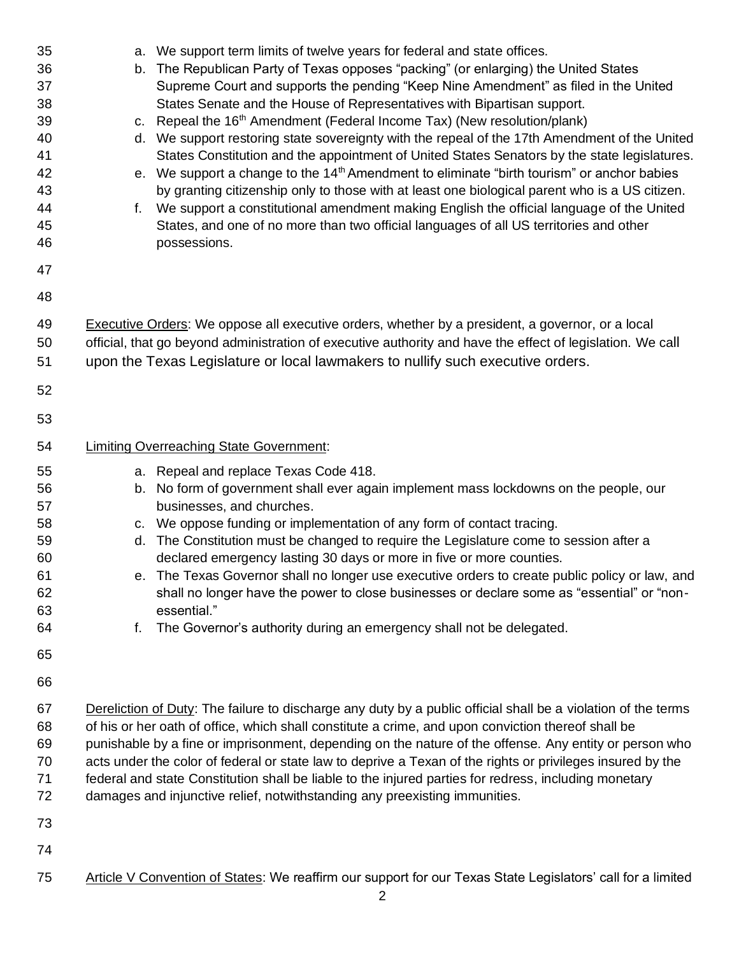| 35<br>36<br>37<br>38<br>39<br>40<br>41<br>42<br>43<br>44<br>45<br>46 | a. We support term limits of twelve years for federal and state offices.<br>The Republican Party of Texas opposes "packing" (or enlarging) the United States<br>b.<br>Supreme Court and supports the pending "Keep Nine Amendment" as filed in the United<br>States Senate and the House of Representatives with Bipartisan support.<br>Repeal the 16 <sup>th</sup> Amendment (Federal Income Tax) (New resolution/plank)<br>C.<br>d. We support restoring state sovereignty with the repeal of the 17th Amendment of the United<br>States Constitution and the appointment of United States Senators by the state legislatures.<br>e. We support a change to the $14th$ Amendment to eliminate "birth tourism" or anchor babies<br>by granting citizenship only to those with at least one biological parent who is a US citizen.<br>f. We support a constitutional amendment making English the official language of the United<br>States, and one of no more than two official languages of all US territories and other<br>possessions. |
|----------------------------------------------------------------------|---------------------------------------------------------------------------------------------------------------------------------------------------------------------------------------------------------------------------------------------------------------------------------------------------------------------------------------------------------------------------------------------------------------------------------------------------------------------------------------------------------------------------------------------------------------------------------------------------------------------------------------------------------------------------------------------------------------------------------------------------------------------------------------------------------------------------------------------------------------------------------------------------------------------------------------------------------------------------------------------------------------------------------------------|
| 47<br>48                                                             |                                                                                                                                                                                                                                                                                                                                                                                                                                                                                                                                                                                                                                                                                                                                                                                                                                                                                                                                                                                                                                             |
| 49<br>50<br>51                                                       | Executive Orders: We oppose all executive orders, whether by a president, a governor, or a local<br>official, that go beyond administration of executive authority and have the effect of legislation. We call<br>upon the Texas Legislature or local lawmakers to nullify such executive orders.                                                                                                                                                                                                                                                                                                                                                                                                                                                                                                                                                                                                                                                                                                                                           |
| 52                                                                   |                                                                                                                                                                                                                                                                                                                                                                                                                                                                                                                                                                                                                                                                                                                                                                                                                                                                                                                                                                                                                                             |
| 53                                                                   |                                                                                                                                                                                                                                                                                                                                                                                                                                                                                                                                                                                                                                                                                                                                                                                                                                                                                                                                                                                                                                             |
| 54                                                                   | <b>Limiting Overreaching State Government:</b>                                                                                                                                                                                                                                                                                                                                                                                                                                                                                                                                                                                                                                                                                                                                                                                                                                                                                                                                                                                              |
| 55<br>56<br>57<br>58<br>59<br>60<br>61<br>62<br>63<br>64             | a. Repeal and replace Texas Code 418.<br>b. No form of government shall ever again implement mass lockdowns on the people, our<br>businesses, and churches.<br>c. We oppose funding or implementation of any form of contact tracing.<br>The Constitution must be changed to require the Legislature come to session after a<br>d.<br>declared emergency lasting 30 days or more in five or more counties.<br>e. The Texas Governor shall no longer use executive orders to create public policy or law, and<br>shall no longer have the power to close businesses or declare some as "essential" or "non-<br>essential."<br>The Governor's authority during an emergency shall not be delegated.<br>f.                                                                                                                                                                                                                                                                                                                                     |
| 65                                                                   |                                                                                                                                                                                                                                                                                                                                                                                                                                                                                                                                                                                                                                                                                                                                                                                                                                                                                                                                                                                                                                             |
| 66<br>67<br>68<br>69<br>70<br>71<br>72<br>73                         | Dereliction of Duty: The failure to discharge any duty by a public official shall be a violation of the terms<br>of his or her oath of office, which shall constitute a crime, and upon conviction thereof shall be<br>punishable by a fine or imprisonment, depending on the nature of the offense. Any entity or person who<br>acts under the color of federal or state law to deprive a Texan of the rights or privileges insured by the<br>federal and state Constitution shall be liable to the injured parties for redress, including monetary<br>damages and injunctive relief, notwithstanding any preexisting immunities.                                                                                                                                                                                                                                                                                                                                                                                                          |
| 74                                                                   |                                                                                                                                                                                                                                                                                                                                                                                                                                                                                                                                                                                                                                                                                                                                                                                                                                                                                                                                                                                                                                             |
| 75                                                                   | Article V Convention of States: We reaffirm our support for our Texas State Legislators' call for a limited<br>2                                                                                                                                                                                                                                                                                                                                                                                                                                                                                                                                                                                                                                                                                                                                                                                                                                                                                                                            |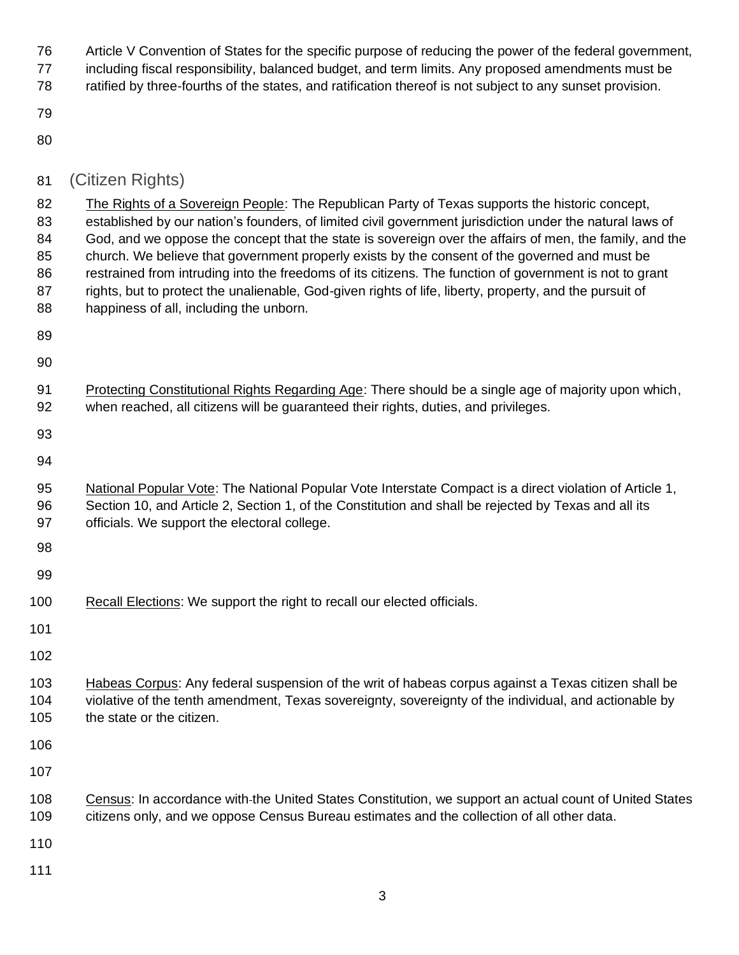Article V Convention of States for the specific purpose of reducing the power of the federal government, including fiscal responsibility, balanced budget, and term limits. Any proposed amendments must be ratified by three-fourths of the states, and ratification thereof is not subject to any sunset provision.

- 
- 

| 81             | (Citizen Rights)                                                                                                                                                                                                                                                                                                      |
|----------------|-----------------------------------------------------------------------------------------------------------------------------------------------------------------------------------------------------------------------------------------------------------------------------------------------------------------------|
| 82<br>83<br>84 | The Rights of a Sovereign People: The Republican Party of Texas supports the historic concept,<br>established by our nation's founders, of limited civil government jurisdiction under the natural laws of<br>God, and we oppose the concept that the state is sovereign over the affairs of men, the family, and the |
| 85             | church. We believe that government properly exists by the consent of the governed and must be                                                                                                                                                                                                                         |
| 86             | restrained from intruding into the freedoms of its citizens. The function of government is not to grant                                                                                                                                                                                                               |
| 87<br>88       | rights, but to protect the unalienable, God-given rights of life, liberty, property, and the pursuit of<br>happiness of all, including the unborn.                                                                                                                                                                    |
| 89             |                                                                                                                                                                                                                                                                                                                       |
| 90             |                                                                                                                                                                                                                                                                                                                       |
| 91<br>92       | Protecting Constitutional Rights Regarding Age: There should be a single age of majority upon which,<br>when reached, all citizens will be guaranteed their rights, duties, and privileges.                                                                                                                           |
| 93             |                                                                                                                                                                                                                                                                                                                       |
| 94             |                                                                                                                                                                                                                                                                                                                       |
| 95<br>96<br>97 | National Popular Vote: The National Popular Vote Interstate Compact is a direct violation of Article 1,<br>Section 10, and Article 2, Section 1, of the Constitution and shall be rejected by Texas and all its                                                                                                       |
| 98             | officials. We support the electoral college.                                                                                                                                                                                                                                                                          |
| 99             |                                                                                                                                                                                                                                                                                                                       |
| 100            | Recall Elections: We support the right to recall our elected officials.                                                                                                                                                                                                                                               |
|                |                                                                                                                                                                                                                                                                                                                       |
| 101            |                                                                                                                                                                                                                                                                                                                       |
| 102            |                                                                                                                                                                                                                                                                                                                       |
| 103<br>104     | Habeas Corpus: Any federal suspension of the writ of habeas corpus against a Texas citizen shall be<br>violative of the tenth amendment, Texas sovereignty, sovereignty of the individual, and actionable by                                                                                                          |
| 105            | the state or the citizen.                                                                                                                                                                                                                                                                                             |
| 106            |                                                                                                                                                                                                                                                                                                                       |
| 107            |                                                                                                                                                                                                                                                                                                                       |
| 108            | Census: In accordance with-the United States Constitution, we support an actual count of United States                                                                                                                                                                                                                |
| 109            | citizens only, and we oppose Census Bureau estimates and the collection of all other data.                                                                                                                                                                                                                            |
| 110            |                                                                                                                                                                                                                                                                                                                       |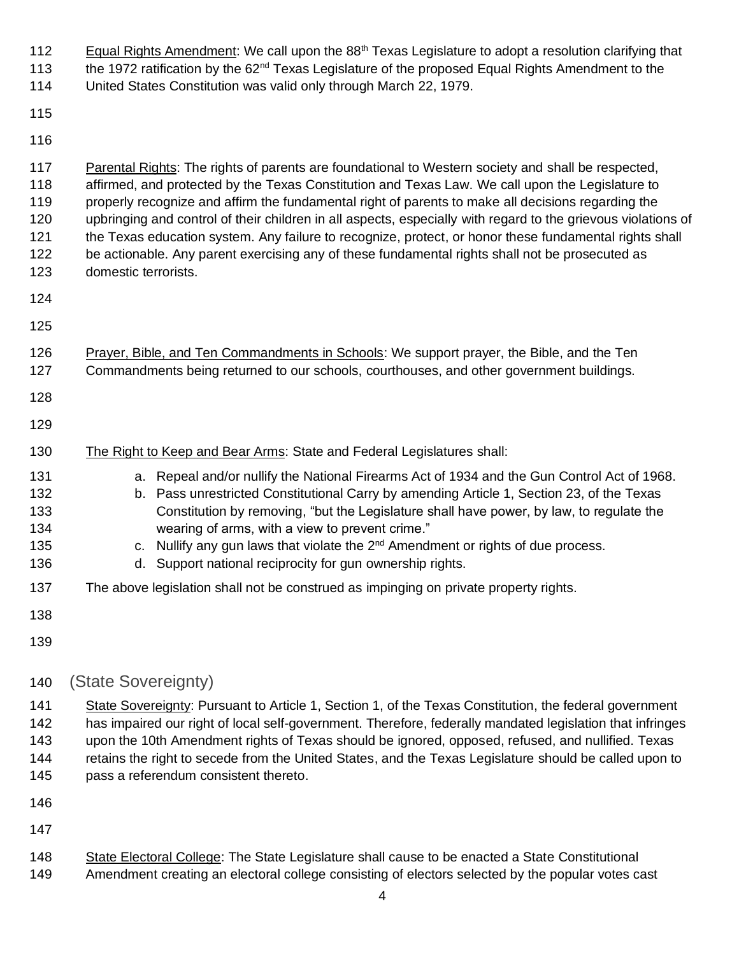| 112<br>113<br>114                             | Equal Rights Amendment: We call upon the 88 <sup>th</sup> Texas Legislature to adopt a resolution clarifying that<br>the 1972 ratification by the 62 <sup>nd</sup> Texas Legislature of the proposed Equal Rights Amendment to the<br>United States Constitution was valid only through March 22, 1979.                                                                                                                                                                                                                                                                                                                                                            |
|-----------------------------------------------|--------------------------------------------------------------------------------------------------------------------------------------------------------------------------------------------------------------------------------------------------------------------------------------------------------------------------------------------------------------------------------------------------------------------------------------------------------------------------------------------------------------------------------------------------------------------------------------------------------------------------------------------------------------------|
| 115                                           |                                                                                                                                                                                                                                                                                                                                                                                                                                                                                                                                                                                                                                                                    |
| 116                                           |                                                                                                                                                                                                                                                                                                                                                                                                                                                                                                                                                                                                                                                                    |
| 117<br>118<br>119<br>120<br>121<br>122<br>123 | Parental Rights: The rights of parents are foundational to Western society and shall be respected,<br>affirmed, and protected by the Texas Constitution and Texas Law. We call upon the Legislature to<br>properly recognize and affirm the fundamental right of parents to make all decisions regarding the<br>upbringing and control of their children in all aspects, especially with regard to the grievous violations of<br>the Texas education system. Any failure to recognize, protect, or honor these fundamental rights shall<br>be actionable. Any parent exercising any of these fundamental rights shall not be prosecuted as<br>domestic terrorists. |
| 124                                           |                                                                                                                                                                                                                                                                                                                                                                                                                                                                                                                                                                                                                                                                    |
| 125                                           |                                                                                                                                                                                                                                                                                                                                                                                                                                                                                                                                                                                                                                                                    |
| 126<br>127                                    | Prayer, Bible, and Ten Commandments in Schools: We support prayer, the Bible, and the Ten<br>Commandments being returned to our schools, courthouses, and other government buildings.                                                                                                                                                                                                                                                                                                                                                                                                                                                                              |
| 128                                           |                                                                                                                                                                                                                                                                                                                                                                                                                                                                                                                                                                                                                                                                    |
| 129                                           |                                                                                                                                                                                                                                                                                                                                                                                                                                                                                                                                                                                                                                                                    |
| 130                                           | The Right to Keep and Bear Arms: State and Federal Legislatures shall:                                                                                                                                                                                                                                                                                                                                                                                                                                                                                                                                                                                             |
| 131<br>132<br>133<br>134<br>135<br>136        | a. Repeal and/or nullify the National Firearms Act of 1934 and the Gun Control Act of 1968.<br>b. Pass unrestricted Constitutional Carry by amending Article 1, Section 23, of the Texas<br>Constitution by removing, "but the Legislature shall have power, by law, to regulate the<br>wearing of arms, with a view to prevent crime."<br>c. Nullify any gun laws that violate the $2^{nd}$ Amendment or rights of due process.<br>d. Support national reciprocity for gun ownership rights.                                                                                                                                                                      |
| 137                                           | The above legislation shall not be construed as impinging on private property rights.                                                                                                                                                                                                                                                                                                                                                                                                                                                                                                                                                                              |
| 138                                           |                                                                                                                                                                                                                                                                                                                                                                                                                                                                                                                                                                                                                                                                    |
| 139                                           |                                                                                                                                                                                                                                                                                                                                                                                                                                                                                                                                                                                                                                                                    |
| 140                                           | (State Sovereignty)                                                                                                                                                                                                                                                                                                                                                                                                                                                                                                                                                                                                                                                |
| 141<br>142<br>143<br>144<br>145               | State Sovereignty: Pursuant to Article 1, Section 1, of the Texas Constitution, the federal government<br>has impaired our right of local self-government. Therefore, federally mandated legislation that infringes<br>upon the 10th Amendment rights of Texas should be ignored, opposed, refused, and nullified. Texas<br>retains the right to secede from the United States, and the Texas Legislature should be called upon to<br>pass a referendum consistent thereto.                                                                                                                                                                                        |
| 146                                           |                                                                                                                                                                                                                                                                                                                                                                                                                                                                                                                                                                                                                                                                    |
| 147                                           |                                                                                                                                                                                                                                                                                                                                                                                                                                                                                                                                                                                                                                                                    |
| 148                                           | State Electoral College: The State Legislature shall cause to be enacted a State Constitutional                                                                                                                                                                                                                                                                                                                                                                                                                                                                                                                                                                    |

Amendment creating an electoral college consisting of electors selected by the popular votes cast